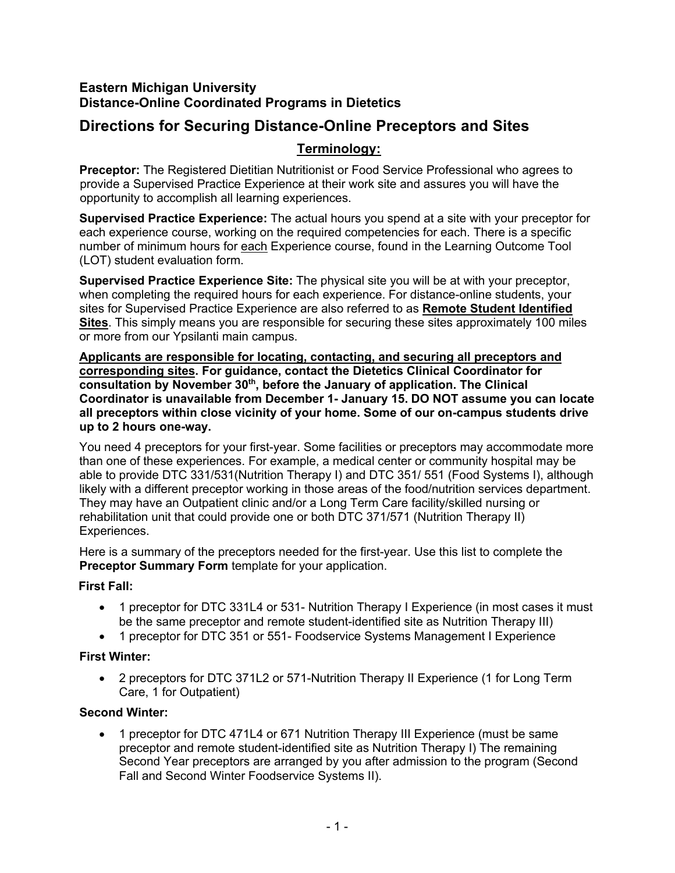# **Eastern Michigan University Distance-Online Coordinated Programs in Dietetics**

# **Directions for Securing Distance-Online Preceptors and Sites**

# **Terminology:**

**Preceptor:** The Registered Dietitian Nutritionist or Food Service Professional who agrees to provide a Supervised Practice Experience at their work site and assures you will have the opportunity to accomplish all learning experiences.

**Supervised Practice Experience:** The actual hours you spend at a site with your preceptor for each experience course, working on the required competencies for each. There is a specific number of minimum hours for each Experience course, found in the Learning Outcome Tool (LOT) student evaluation form.

**Supervised Practice Experience Site:** The physical site you will be at with your preceptor, when completing the required hours for each experience. For distance-online students, your sites for Supervised Practice Experience are also referred to as **Remote Student Identified Sites**. This simply means you are responsible for securing these sites approximately 100 miles or more from our Ypsilanti main campus.

**Applicants are responsible for locating, contacting, and securing all preceptors and corresponding sites. For guidance, contact the Dietetics Clinical Coordinator for consultation by November 30th, before the January of application. The Clinical Coordinator is unavailable from December 1- January 15. DO NOT assume you can locate all preceptors within close vicinity of your home. Some of our on-campus students drive up to 2 hours one-way.**

You need 4 preceptors for your first-year. Some facilities or preceptors may accommodate more than one of these experiences. For example, a medical center or community hospital may be able to provide DTC 331/531(Nutrition Therapy I) and DTC 351/ 551 (Food Systems I), although likely with a different preceptor working in those areas of the food/nutrition services department. They may have an Outpatient clinic and/or a Long Term Care facility/skilled nursing or rehabilitation unit that could provide one or both DTC 371/571 (Nutrition Therapy II) Experiences.

Here is a summary of the preceptors needed for the first-year. Use this list to complete the **Preceptor Summary Form** template for your application.

# **First Fall:**

- 1 preceptor for DTC 331L4 or 531- Nutrition Therapy I Experience (in most cases it must be the same preceptor and remote student-identified site as Nutrition Therapy III)
- 1 preceptor for DTC 351 or 551- Foodservice Systems Management I Experience

# **First Winter:**

• 2 preceptors for DTC 371L2 or 571-Nutrition Therapy II Experience (1 for Long Term Care, 1 for Outpatient)

# **Second Winter:**

• 1 preceptor for DTC 471L4 or 671 Nutrition Therapy III Experience (must be same preceptor and remote student-identified site as Nutrition Therapy I) The remaining Second Year preceptors are arranged by you after admission to the program (Second Fall and Second Winter Foodservice Systems II).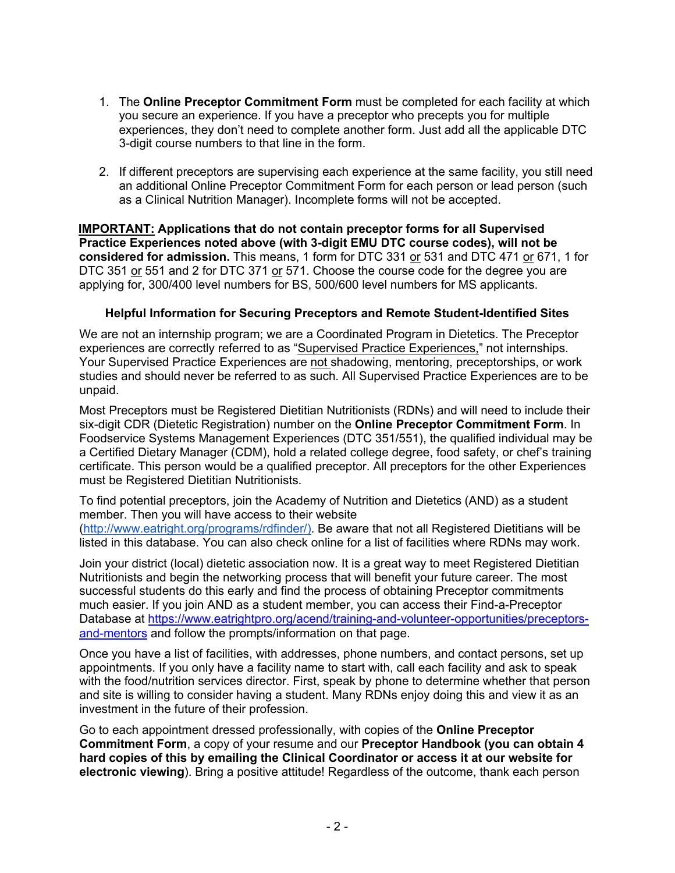- 1. The **Online Preceptor Commitment Form** must be completed for each facility at which you secure an experience. If you have a preceptor who precepts you for multiple experiences, they don't need to complete another form. Just add all the applicable DTC 3-digit course numbers to that line in the form.
- 2. If different preceptors are supervising each experience at the same facility, you still need an additional Online Preceptor Commitment Form for each person or lead person (such as a Clinical Nutrition Manager). Incomplete forms will not be accepted.

**IMPORTANT: Applications that do not contain preceptor forms for all Supervised Practice Experiences noted above (with 3-digit EMU DTC course codes), will not be considered for admission.** This means, 1 form for DTC 331 or 531 and DTC 471 or 671, 1 for DTC 351 or 551 and 2 for DTC 371 or 571. Choose the course code for the degree you are applying for, 300/400 level numbers for BS, 500/600 level numbers for MS applicants.

## **Helpful Information for Securing Preceptors and Remote Student-Identified Sites**

We are not an internship program; we are a Coordinated Program in Dietetics. The Preceptor experiences are correctly referred to as "Supervised Practice Experiences," not internships. Your Supervised Practice Experiences are not shadowing, mentoring, preceptorships, or work studies and should never be referred to as such. All Supervised Practice Experiences are to be unpaid.

Most Preceptors must be Registered Dietitian Nutritionists (RDNs) and will need to include their six-digit CDR (Dietetic Registration) number on the **Online Preceptor Commitment Form**. In Foodservice Systems Management Experiences (DTC 351/551), the qualified individual may be a Certified Dietary Manager (CDM), hold a related college degree, food safety, or chef's training certificate. This person would be a qualified preceptor. All preceptors for the other Experiences must be Registered Dietitian Nutritionists.

To find potential preceptors, join the Academy of Nutrition and Dietetics (AND) as a student member. Then you will have access to their website (http://www.eatright.org/programs/rdfinder/). Be aware that not all Registered Dietitians will be listed in this database. You can also check online for a list of facilities where RDNs may work.

Join your district (local) dietetic association now. It is a great way to meet Registered Dietitian Nutritionists and begin the networking process that will benefit your future career. The most successful students do this early and find the process of obtaining Preceptor commitments much easier. If you join AND as a student member, you can access their Find-a-Preceptor Database at https://www.eatrightpro.org/acend/training-and-volunteer-opportunities/preceptorsand-mentors and follow the prompts/information on that page.

Once you have a list of facilities, with addresses, phone numbers, and contact persons, set up appointments. If you only have a facility name to start with, call each facility and ask to speak with the food/nutrition services director. First, speak by phone to determine whether that person and site is willing to consider having a student. Many RDNs enjoy doing this and view it as an investment in the future of their profession.

Go to each appointment dressed professionally, with copies of the **Online Preceptor Commitment Form**, a copy of your resume and our **Preceptor Handbook (you can obtain 4 hard copies of this by emailing the Clinical Coordinator or access it at our website for electronic viewing**). Bring a positive attitude! Regardless of the outcome, thank each person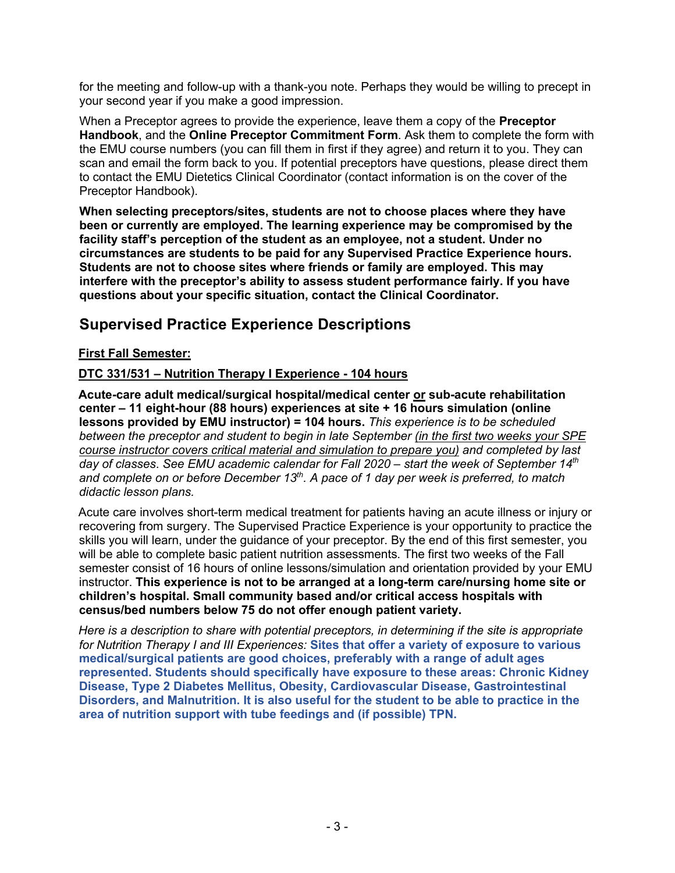for the meeting and follow-up with a thank-you note. Perhaps they would be willing to precept in your second year if you make a good impression.

When a Preceptor agrees to provide the experience, leave them a copy of the **Preceptor Handbook**, and the **Online Preceptor Commitment Form**. Ask them to complete the form with the EMU course numbers (you can fill them in first if they agree) and return it to you. They can scan and email the form back to you. If potential preceptors have questions, please direct them to contact the EMU Dietetics Clinical Coordinator (contact information is on the cover of the Preceptor Handbook).

**When selecting preceptors/sites, students are not to choose places where they have been or currently are employed. The learning experience may be compromised by the facility staff's perception of the student as an employee, not a student. Under no circumstances are students to be paid for any Supervised Practice Experience hours. Students are not to choose sites where friends or family are employed. This may interfere with the preceptor's ability to assess student performance fairly. If you have questions about your specific situation, contact the Clinical Coordinator.**

# **Supervised Practice Experience Descriptions**

# **First Fall Semester:**

# **DTC 331/531 – Nutrition Therapy I Experience - 104 hours**

**Acute-care adult medical/surgical hospital/medical center or sub-acute rehabilitation center – 11 eight-hour (88 hours) experiences at site + 16 hours simulation (online lessons provided by EMU instructor) = 104 hours.** *This experience is to be scheduled between the preceptor and student to begin in late September (in the first two weeks your SPE course instructor covers critical material and simulation to prepare you) and completed by last day of classes*. *See EMU academic calendar for Fall 2020 – start the week of September 14th and complete on or before December 13th. A pace of 1 day per week is preferred, to match didactic lesson plans.*

Acute care involves short-term medical treatment for patients having an acute illness or injury or recovering from surgery. The Supervised Practice Experience is your opportunity to practice the skills you will learn, under the guidance of your preceptor. By the end of this first semester, you will be able to complete basic patient nutrition assessments. The first two weeks of the Fall semester consist of 16 hours of online lessons/simulation and orientation provided by your EMU instructor. **This experience is not to be arranged at a long-term care/nursing home site or children's hospital. Small community based and/or critical access hospitals with census/bed numbers below 75 do not offer enough patient variety.** 

*Here is a description to share with potential preceptors, in determining if the site is appropriate for Nutrition Therapy I and III Experiences:* **Sites that offer a variety of exposure to various medical/surgical patients are good choices, preferably with a range of adult ages represented. Students should specifically have exposure to these areas: Chronic Kidney Disease, Type 2 Diabetes Mellitus, Obesity, Cardiovascular Disease, Gastrointestinal Disorders, and Malnutrition. It is also useful for the student to be able to practice in the area of nutrition support with tube feedings and (if possible) TPN.**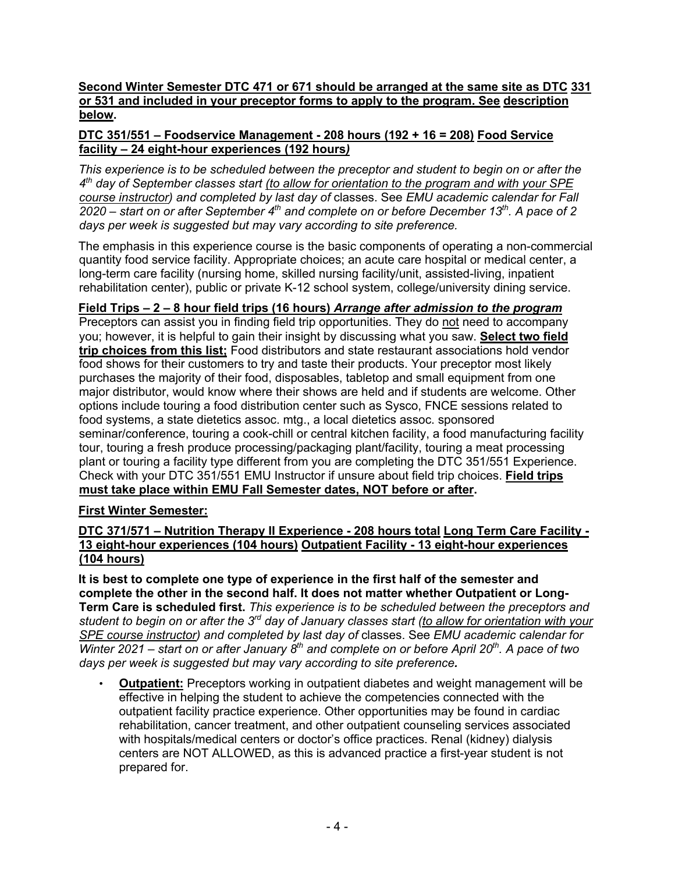## **Second Winter Semester DTC 471 or 671 should be arranged at the same site as DTC 331 or 531 and included in your preceptor forms to apply to the program. See description below.**

## **DTC 351/551 – Foodservice Management - 208 hours (192 + 16 = 208) Food Service facility – 24 eight-hour experiences (192 hours***)*

*This experience is to be scheduled between the preceptor and student to begin on or after the 4th day of September classes start (to allow for orientation to the program and with your SPE course instructor) and completed by last day of* classes. See *EMU academic calendar for Fall 2020 – start on or after September 4th and complete on or before December 13th. A pace of 2 days per week is suggested but may vary according to site preference.*

The emphasis in this experience course is the basic components of operating a non-commercial quantity food service facility. Appropriate choices; an acute care hospital or medical center, a long-term care facility (nursing home, skilled nursing facility/unit, assisted-living, inpatient rehabilitation center), public or private K-12 school system, college/university dining service.

## **Field Trips – 2 – 8 hour field trips (16 hours)** *Arrange after admission to the program*

Preceptors can assist you in finding field trip opportunities. They do not need to accompany you; however, it is helpful to gain their insight by discussing what you saw. **Select two field trip choices from this list;** Food distributors and state restaurant associations hold vendor food shows for their customers to try and taste their products. Your preceptor most likely purchases the majority of their food, disposables, tabletop and small equipment from one major distributor, would know where their shows are held and if students are welcome. Other options include touring a food distribution center such as Sysco, FNCE sessions related to food systems, a state dietetics assoc. mtg., a local dietetics assoc. sponsored seminar/conference, touring a cook-chill or central kitchen facility, a food manufacturing facility tour, touring a fresh produce processing/packaging plant/facility, touring a meat processing plant or touring a facility type different from you are completing the DTC 351/551 Experience. Check with your DTC 351/551 EMU Instructor if unsure about field trip choices. **Field trips must take place within EMU Fall Semester dates, NOT before or after.**

## **First Winter Semester:**

## **DTC 371/571 – Nutrition Therapy II Experience - 208 hours total Long Term Care Facility - 13 eight-hour experiences (104 hours) Outpatient Facility - 13 eight-hour experiences (104 hours)**

**It is best to complete one type of experience in the first half of the semester and complete the other in the second half. It does not matter whether Outpatient or Long-Term Care is scheduled first.** *This experience is to be scheduled between the preceptors and student to begin on or after the 3rd day of January classes start (to allow for orientation with your SPE course instructor) and completed by last day of* classes. See *EMU academic calendar for Winter 2021 – start on or after January 8th and complete on or before April 20th . A pace of two days per week is suggested but may vary according to site preference.*

• **Outpatient:** Preceptors working in outpatient diabetes and weight management will be effective in helping the student to achieve the competencies connected with the outpatient facility practice experience. Other opportunities may be found in cardiac rehabilitation, cancer treatment, and other outpatient counseling services associated with hospitals/medical centers or doctor's office practices. Renal (kidney) dialysis centers are NOT ALLOWED, as this is advanced practice a first-year student is not prepared for.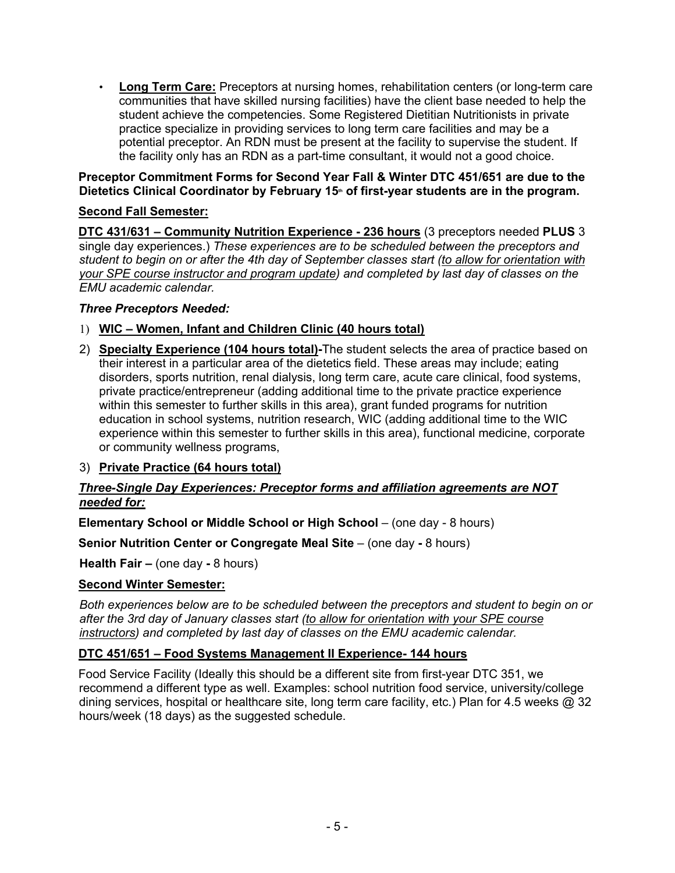• **Long Term Care:** Preceptors at nursing homes, rehabilitation centers (or long-term care communities that have skilled nursing facilities) have the client base needed to help the student achieve the competencies. Some Registered Dietitian Nutritionists in private practice specialize in providing services to long term care facilities and may be a potential preceptor. An RDN must be present at the facility to supervise the student. If the facility only has an RDN as a part-time consultant, it would not a good choice.

## **Preceptor Commitment Forms for Second Year Fall & Winter DTC 451/651 are due to the**  Dietetics Clinical Coordinator by February 15<sup>th</sup> of first-year students are in the program.

# **Second Fall Semester:**

**DTC 431/631 – Community Nutrition Experience - 236 hours** (3 preceptors needed **PLUS** 3 single day experiences.) *These experiences are to be scheduled between the preceptors and student to begin on or after the 4th day of September classes start (to allow for orientation with your SPE course instructor and program update) and completed by last day of classes on the EMU academic calendar.*

## *Three Preceptors Needed:*

- 1) **WIC – Women, Infant and Children Clinic (40 hours total)**
- 2) **Specialty Experience (104 hours total)-**The student selects the area of practice based on their interest in a particular area of the dietetics field. These areas may include; eating disorders, sports nutrition, renal dialysis, long term care, acute care clinical, food systems, private practice/entrepreneur (adding additional time to the private practice experience within this semester to further skills in this area), grant funded programs for nutrition education in school systems, nutrition research, WIC (adding additional time to the WIC experience within this semester to further skills in this area), functional medicine, corporate or community wellness programs,
- 3) **Private Practice (64 hours total)**

## *Three-Single Day Experiences: Preceptor forms and affiliation agreements are NOT needed for:*

**Elementary School or Middle School or High School** – (one day - 8 hours)

**Senior Nutrition Center or Congregate Meal Site – (one day - 8 hours)** 

**Health Fair –** (one day **-** 8 hours)

## **Second Winter Semester:**

*Both experiences below are to be scheduled between the preceptors and student to begin on or after the 3rd day of January classes start (to allow for orientation with your SPE course instructors) and completed by last day of classes on the EMU academic calendar.* 

## **DTC 451/651 – Food Systems Management II Experience- 144 hours**

Food Service Facility (Ideally this should be a different site from first-year DTC 351, we recommend a different type as well. Examples: school nutrition food service, university/college dining services, hospital or healthcare site, long term care facility, etc.) Plan for 4.5 weeks @ 32 hours/week (18 days) as the suggested schedule.